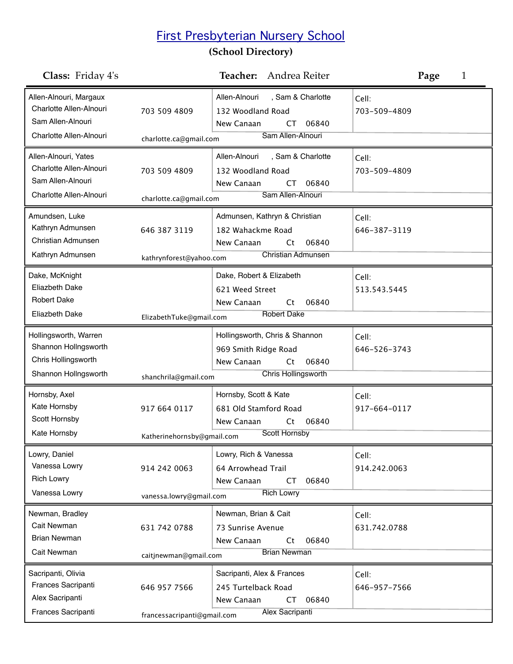## First Presbyterian Nursery School

## **(School Directory)**

| <b>Class:</b> Friday 4's                                                                          |                                                                   | Andrea Reiter<br>Teacher:                                                                                    | Page<br>1             |
|---------------------------------------------------------------------------------------------------|-------------------------------------------------------------------|--------------------------------------------------------------------------------------------------------------|-----------------------|
| Allen-Alnouri, Margaux<br>Charlotte Allen-Alnouri<br>Sam Allen-Alnouri<br>Charlotte Allen-Alnouri | 703 509 4809<br>charlotte.ca@gmail.com                            | Allen-Alnouri<br>, Sam & Charlotte<br>132 Woodland Road<br>06840<br>New Canaan<br>CT<br>Sam Allen-Alnouri    | Cell:<br>703-509-4809 |
| Allen-Alnouri, Yates<br>Charlotte Allen-Alnouri<br>Sam Allen-Alnouri<br>Charlotte Allen-Alnouri   | 703 509 4809                                                      | Allen-Alnouri<br>, Sam & Charlotte<br>132 Woodland Road<br>06840<br>New Canaan<br>СT<br>Sam Allen-Alnouri    | Cell:<br>703-509-4809 |
| Amundsen, Luke<br>Kathryn Admunsen<br><b>Christian Admunsen</b><br>Kathryn Admunsen               | charlotte.ca@gmail.com<br>646 387 3119<br>kathrynforest@yahoo.com | Admunsen, Kathryn & Christian<br>182 Wahackme Road<br>New Canaan<br>06840<br>Ct<br><b>Christian Admunsen</b> | Cell:<br>646-387-3119 |
| Dake, McKnight<br><b>Eliazbeth Dake</b><br><b>Robert Dake</b><br>Eliazbeth Dake                   | ElizabethTuke@gmail.com                                           | Dake, Robert & Elizabeth<br>621 Weed Street<br>New Canaan<br>Ct<br>06840<br><b>Robert Dake</b>               | Cell:<br>513.543.5445 |
| Hollingsworth, Warren<br>Shannon Hollngsworth<br>Chris Hollingsworth<br>Shannon Hollngsworth      | shanchrila@gmail.com                                              | Hollingsworth, Chris & Shannon<br>969 Smith Ridge Road<br>New Canaan<br>06840<br>Ct<br>Chris Hollingsworth   | Cell:<br>646-526-3743 |
| Hornsby, Axel<br>Kate Hornsby<br>Scott Hornsby<br>Kate Hornsby                                    | 917 664 0117<br>Katherinehornsby@gmail.com                        | Hornsby, Scott & Kate<br>681 Old Stamford Road<br>New Canaan<br>06840<br>Ct<br><b>Scott Hornsby</b>          | Cell:<br>917-664-0117 |
| Lowry, Daniel<br>Vanessa Lowry<br><b>Rich Lowry</b><br>Vanessa Lowry                              | 914 242 0063<br>vanessa.lowry@gmail.com                           | Lowry, Rich & Vanessa<br>64 Arrowhead Trail<br>New Canaan<br>06840<br><b>CT</b><br><b>Rich Lowry</b>         | Cell:<br>914.242.0063 |
| Newman, Bradley<br>Cait Newman<br><b>Brian Newman</b><br>Cait Newman                              | 631 742 0788<br>caitjnewman@gmail.com                             | Newman, Brian & Cait<br>73 Sunrise Avenue<br>New Canaan<br>06840<br>Ct<br><b>Brian Newman</b>                | Cell:<br>631.742.0788 |
| Sacripanti, Olivia<br>Frances Sacripanti<br>Alex Sacripanti<br>Frances Sacripanti                 | 646 957 7566<br>francessacripanti@gmail.com                       | Sacripanti, Alex & Frances<br>245 Turtelback Road<br>06840<br>New Canaan<br>СT<br>Alex Sacripanti            | Cell:<br>646-957-7566 |